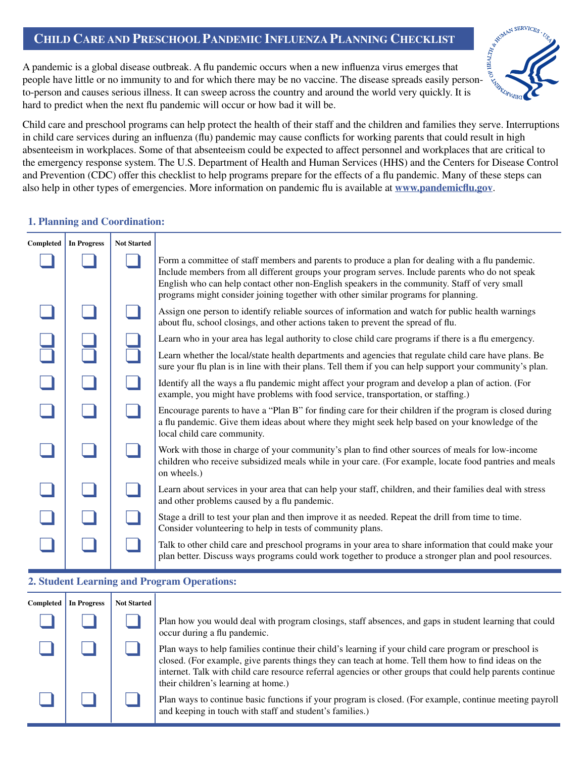# **CHILD CARE AND PRESCHOOL PANDEMIC INFLUENZA PLANNING CHECKLIST**

A pandemic is a global disease outbreak. A flu pandemic occurs when a new influenza virus emerges that people have little or no immunity to and for which there may be no vaccine. The disease spreads easily personto-person and causes serious illness. It can sweep across the country and around the world very quickly. It is hard to predict when the next flu pandemic will occur or how bad it will be.



Child care and preschool programs can help protect the health of their staff and the children and families they serve. Interruptions in child care services during an influenza (flu) pandemic may cause conflicts for working parents that could result in high absenteeism in workplaces. Some of that absenteeism could be expected to affect personnel and workplaces that are critical to the emergency response system. The U.S. Department of Health and Human Services (HHS) and the Centers for Disease Control and Prevention (CDC) offer this checklist to help programs prepare for the effects of a flu pandemic. Many of these steps can also help in other types of emergencies. More information on pandemic flu is available at **www.pandemicflu.gov**.

#### **1. Planning and Coordination:**

| Completed | <b>In Progress</b> | <b>Not Started</b> |                                                                                                                                                                                                                                                                                                                                                                                            |
|-----------|--------------------|--------------------|--------------------------------------------------------------------------------------------------------------------------------------------------------------------------------------------------------------------------------------------------------------------------------------------------------------------------------------------------------------------------------------------|
|           |                    |                    | Form a committee of staff members and parents to produce a plan for dealing with a flu pandemic.<br>Include members from all different groups your program serves. Include parents who do not speak<br>English who can help contact other non-English speakers in the community. Staff of very small<br>programs might consider joining together with other similar programs for planning. |
|           |                    |                    | Assign one person to identify reliable sources of information and watch for public health warnings<br>about flu, school closings, and other actions taken to prevent the spread of flu.                                                                                                                                                                                                    |
|           |                    |                    | Learn who in your area has legal authority to close child care programs if there is a flu emergency.                                                                                                                                                                                                                                                                                       |
|           |                    |                    | Learn whether the local/state health departments and agencies that regulate child care have plans. Be<br>sure your flu plan is in line with their plans. Tell them if you can help support your community's plan.                                                                                                                                                                          |
|           |                    |                    | Identify all the ways a flu pandemic might affect your program and develop a plan of action. (For<br>example, you might have problems with food service, transportation, or staffing.)                                                                                                                                                                                                     |
|           |                    |                    | Encourage parents to have a "Plan B" for finding care for their children if the program is closed during<br>a flu pandemic. Give them ideas about where they might seek help based on your knowledge of the<br>local child care community.                                                                                                                                                 |
|           |                    |                    | Work with those in charge of your community's plan to find other sources of meals for low-income<br>children who receive subsidized meals while in your care. (For example, locate food pantries and meals<br>on wheels.)                                                                                                                                                                  |
|           |                    |                    | Learn about services in your area that can help your staff, children, and their families deal with stress<br>and other problems caused by a flu pandemic.                                                                                                                                                                                                                                  |
|           |                    |                    | Stage a drill to test your plan and then improve it as needed. Repeat the drill from time to time.<br>Consider volunteering to help in tests of community plans.                                                                                                                                                                                                                           |
|           |                    |                    | Talk to other child care and preschool programs in your area to share information that could make your<br>plan better. Discuss ways programs could work together to produce a stronger plan and pool resources.                                                                                                                                                                            |

## **2. Student Learning and Program Operations:**

| <b>Completed</b> | In Progress | <b>Not Started</b> |                                                                                                                                                                                                                                                                                                                                                                    |
|------------------|-------------|--------------------|--------------------------------------------------------------------------------------------------------------------------------------------------------------------------------------------------------------------------------------------------------------------------------------------------------------------------------------------------------------------|
|                  |             |                    | Plan how you would deal with program closings, staff absences, and gaps in student learning that could<br>occur during a flu pandemic.                                                                                                                                                                                                                             |
|                  |             |                    | Plan ways to help families continue their child's learning if your child care program or preschool is<br>closed. (For example, give parents things they can teach at home. Tell them how to find ideas on the<br>internet. Talk with child care resource referral agencies or other groups that could help parents continue<br>their children's learning at home.) |
|                  |             |                    | Plan ways to continue basic functions if your program is closed. (For example, continue meeting payroll<br>and keeping in touch with staff and student's families.)                                                                                                                                                                                                |